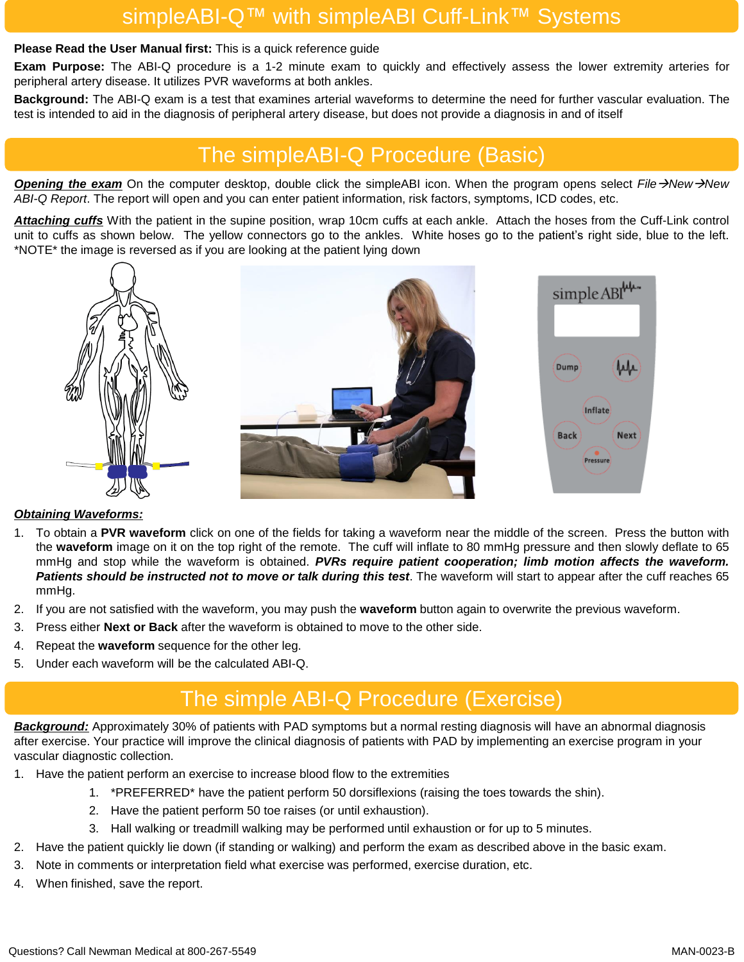## simpleABI-Q™ with simpleABI Cuff-Link™ Systems

#### **Please Read the User Manual first:** This is a quick reference guide

**Exam Purpose:** The ABI-Q procedure is a 1-2 minute exam to quickly and effectively assess the lower extremity arteries for peripheral artery disease. It utilizes PVR waveforms at both ankles.

**Background:** The ABI-Q exam is a test that examines arterial waveforms to determine the need for further vascular evaluation. The test is intended to aid in the diagnosis of peripheral artery disease, but does not provide a diagnosis in and of itself

## The simpleABI-Q Procedure (Basic)

*Opening the exam* On the computer desktop, double click the simpleABI icon. When the program opens select *File*→*New*→*New ABI-Q Report*. The report will open and you can enter patient information, risk factors, symptoms, ICD codes, etc.

*Attaching cuffs* With the patient in the supine position, wrap 10cm cuffs at each ankle. Attach the hoses from the Cuff-Link control unit to cuffs as shown below. The yellow connectors go to the ankles. White hoses go to the patient's right side, blue to the left. \*NOTE\* the image is reversed as if you are looking at the patient lying down



#### *Obtaining Waveforms:*

- 1. To obtain a **PVR waveform** click on one of the fields for taking a waveform near the middle of the screen. Press the button with the **waveform** image on it on the top right of the remote. The cuff will inflate to 80 mmHg pressure and then slowly deflate to 65 mmHg and stop while the waveform is obtained. *PVRs require patient cooperation; limb motion affects the waveform. Patients should be instructed not to move or talk during this test*. The waveform will start to appear after the cuff reaches 65 mmHg.
- 2. If you are not satisfied with the waveform, you may push the **waveform** button again to overwrite the previous waveform.
- 3. Press either **Next or Back** after the waveform is obtained to move to the other side.
- 4. Repeat the **waveform** sequence for the other leg.
- 5. Under each waveform will be the calculated ABI-Q.

# The simple ABI-Q Procedure (Exercise)

*Background:* Approximately 30% of patients with PAD symptoms but a normal resting diagnosis will have an abnormal diagnosis after exercise. Your practice will improve the clinical diagnosis of patients with PAD by implementing an exercise program in your vascular diagnostic collection.

- 1. Have the patient perform an exercise to increase blood flow to the extremities
	- 1. \*PREFERRED\* have the patient perform 50 dorsiflexions (raising the toes towards the shin).
	- 2. Have the patient perform 50 toe raises (or until exhaustion).
	- 3. Hall walking or treadmill walking may be performed until exhaustion or for up to 5 minutes.
- 2. Have the patient quickly lie down (if standing or walking) and perform the exam as described above in the basic exam.
- 3. Note in comments or interpretation field what exercise was performed, exercise duration, etc.
- 4. When finished, save the report.